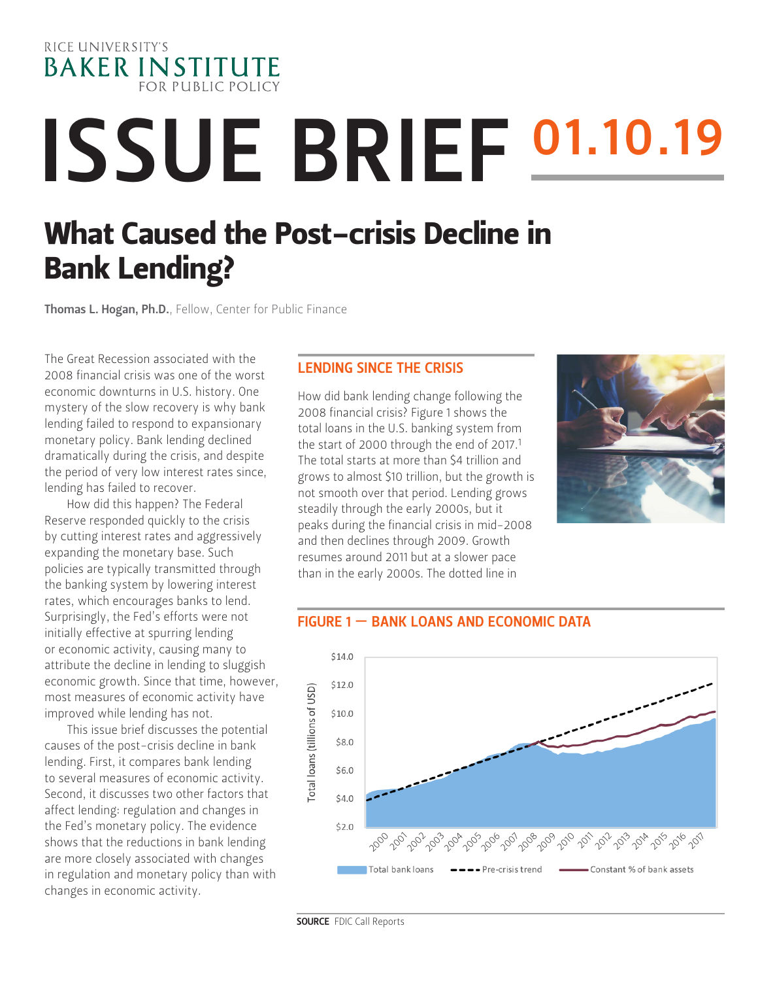

# ISSUE BRIEF 01.10.19

# What Caused the Post-crisis Decline in [B](https://www.bakerinstitute.org/experts/jorge-barro/)ank Lending?

Thomas L. Hogan, Ph.D.[, Fellow, Center for Public Finance](https://www.bakerinstitute.org/experts/thomas-hogan/)

The Great Recession associated with the 2008 financial crisis was one of the worst economic downturns in U.S. history. One mystery of the slow recovery is why bank lending failed to respond to expansionary monetary policy. Bank lending declined dramatically during the crisis, and despite the period of very low interest rates since, lending has failed to recover.

How did this happen? The Federal Reserve responded quickly to the crisis by cutting interest rates and aggressively expanding the monetary base. Such policies are typically transmitted through the banking system by lowering interest rates, which encourages banks to lend. Surprisingly, the Fed's efforts were not initially effective at spurring lending or economic activity, causing many to attribute the decline in lending to sluggish economic growth. Since that time, however, most measures of economic activity have improved while lending has not.

This issue brief discusses the potential causes of the post-crisis decline in bank lending. First, it compares bank lending to several measures of economic activity. Second, it discusses two other factors that affect lending: regulation and changes in the Fed's monetary policy. The evidence shows that the reductions in bank lending are more closely associated with changes in regulation and monetary policy than with changes in economic activity.

#### LENDING SINCE THE CRISIS

How did bank lending change following the 2008 financial crisis? Figure 1 shows the total loans in the U.S. banking system from the start of 2000 through the end of 2017.<sup>1</sup> The total starts at more than \$4 trillion and grows to almost \$10 trillion, but the growth is not smooth over that period. Lending grows steadily through the early 2000s, but it peaks during the financial crisis in mid-2008 and then declines through 2009. Growth resumes around 2011 but at a slower pace than in the early 2000s. The dotted line in



#### FIGURE 1 — BANK LOANS AND ECONOMIC DATA



SOURCE FDIC Call Reports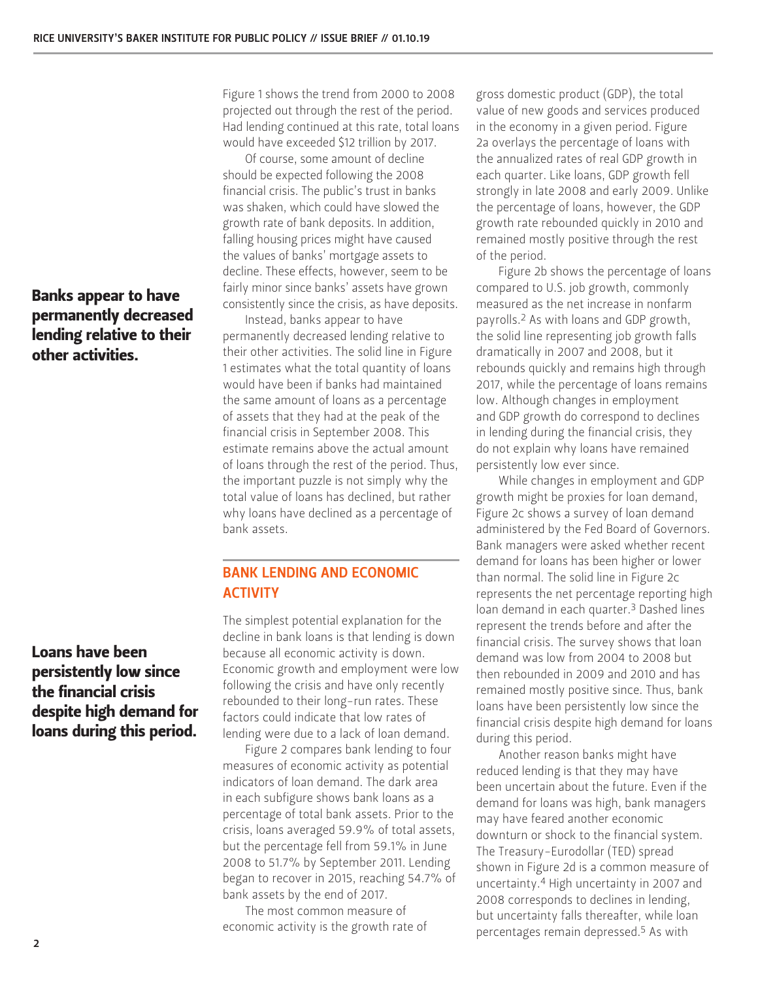## Banks appear to have permanently decreased lending relative to their other activities.

Loans have been persistently low since the financial crisis despite high demand for loans during this period.

Figure 1 shows the trend from 2000 to 2008 projected out through the rest of the period. Had lending continued at this rate, total loans would have exceeded \$12 trillion by 2017.

Of course, some amount of decline should be expected following the 2008 financial crisis. The public's trust in banks was shaken, which could have slowed the growth rate of bank deposits. In addition, falling housing prices might have caused the values of banks' mortgage assets to decline. These effects, however, seem to be fairly minor since banks' assets have grown consistently since the crisis, as have deposits.

Instead, banks appear to have permanently decreased lending relative to their other activities. The solid line in Figure 1 estimates what the total quantity of loans would have been if banks had maintained the same amount of loans as a percentage of assets that they had at the peak of the financial crisis in September 2008. This estimate remains above the actual amount of loans through the rest of the period. Thus, the important puzzle is not simply why the total value of loans has declined, but rather why loans have declined as a percentage of bank assets.

### BANK LENDING AND ECONOMIC **ACTIVITY**

The simplest potential explanation for the decline in bank loans is that lending is down because all economic activity is down. Economic growth and employment were low following the crisis and have only recently rebounded to their long-run rates. These factors could indicate that low rates of lending were due to a lack of loan demand.

Figure 2 compares bank lending to four measures of economic activity as potential indicators of loan demand. The dark area in each subfigure shows bank loans as a percentage of total bank assets. Prior to the crisis, loans averaged 59.9% of total assets, but the percentage fell from 59.1% in June 2008 to 51.7% by September 2011. Lending began to recover in 2015, reaching 54.7% of bank assets by the end of 2017.

The most common measure of economic activity is the growth rate of gross domestic product (GDP), the total value of new goods and services produced in the economy in a given period. Figure 2a overlays the percentage of loans with the annualized rates of real GDP growth in each quarter. Like loans, GDP growth fell strongly in late 2008 and early 2009. Unlike the percentage of loans, however, the GDP growth rate rebounded quickly in 2010 and remained mostly positive through the rest of the period.

Figure 2b shows the percentage of loans compared to U.S. job growth, commonly measured as the net increase in nonfarm payrolls.2 As with loans and GDP growth, the solid line representing job growth falls dramatically in 2007 and 2008, but it rebounds quickly and remains high through 2017, while the percentage of loans remains low. Although changes in employment and GDP growth do correspond to declines in lending during the financial crisis, they do not explain why loans have remained persistently low ever since.

While changes in employment and GDP growth might be proxies for loan demand, Figure 2c shows a survey of loan demand administered by the Fed Board of Governors. Bank managers were asked whether recent demand for loans has been higher or lower than normal. The solid line in Figure 2c represents the net percentage reporting high loan demand in each quarter.3 Dashed lines represent the trends before and after the financial crisis. The survey shows that loan demand was low from 2004 to 2008 but then rebounded in 2009 and 2010 and has remained mostly positive since. Thus, bank loans have been persistently low since the financial crisis despite high demand for loans during this period.

Another reason banks might have reduced lending is that they may have been uncertain about the future. Even if the demand for loans was high, bank managers may have feared another economic downturn or shock to the financial system. The Treasury-Eurodollar (TED) spread shown in Figure 2d is a common measure of uncertainty.4 High uncertainty in 2007 and 2008 corresponds to declines in lending, but uncertainty falls thereafter, while loan percentages remain depressed.5 As with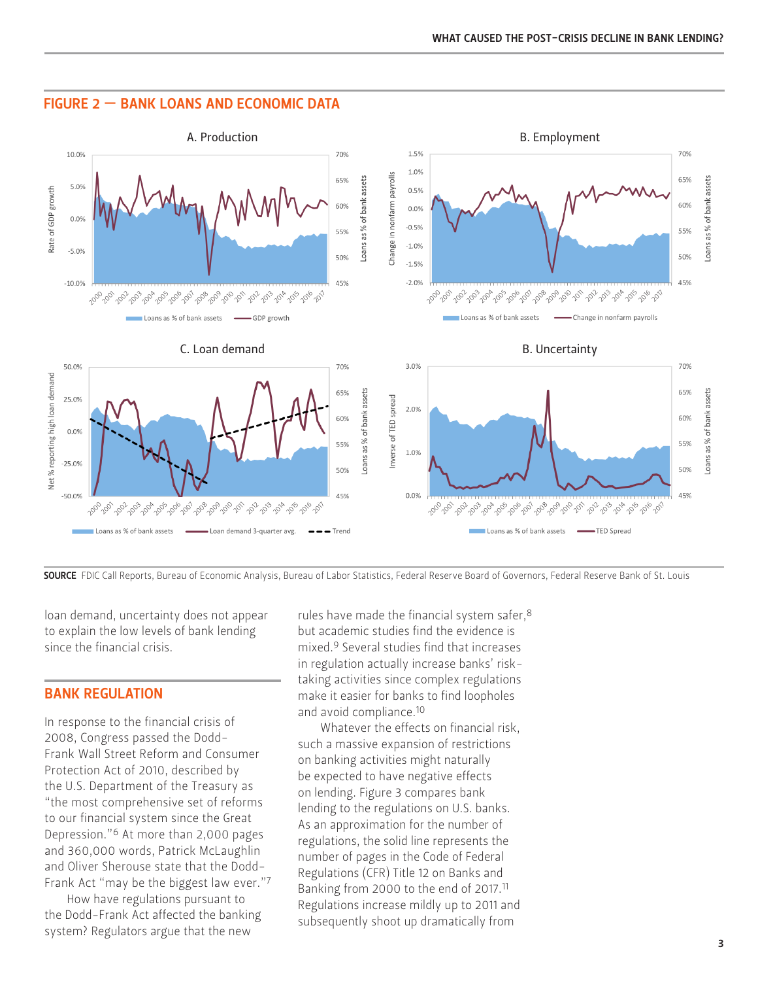

#### FIGURE 2 — BANK LOANS AND ECONOMIC DATA

SOURCE FDIC Call Reports, Bureau of Economic Analysis, Bureau of Labor Statistics, Federal Reserve Board of Governors, Federal Reserve Bank of St. Louis

loan demand, uncertainty does not appear to explain the low levels of bank lending since the financial crisis.

#### BANK REGULATION

In response to the financial crisis of 2008, Congress passed the Dodd-Frank Wall Street Reform and Consumer Protection Act of 2010, described by the U.S. Department of the Treasury as "the most comprehensive set of reforms to our financial system since the Great Depression."6 At more than 2,000 pages and 360,000 words, Patrick McLaughlin and Oliver Sherouse state that the Dodd-Frank Act "may be the biggest law ever."7

How have regulations pursuant to the Dodd-Frank Act affected the banking system? Regulators argue that the new

rules have made the financial system safer, 8 but academic studies find the evidence is mixed.9 Several studies find that increases in regulation actually increase banks' risktaking activities since complex regulations make it easier for banks to find loopholes and avoid compliance.10

Whatever the effects on financial risk, such a massive expansion of restrictions on banking activities might naturally be expected to have negative effects on lending. Figure 3 compares bank lending to the regulations on U.S. banks. As an approximation for the number of regulations, the solid line represents the number of pages in the Code of Federal Regulations (CFR) Title 12 on Banks and Banking from 2000 to the end of 2017.11 Regulations increase mildly up to 2011 and subsequently shoot up dramatically from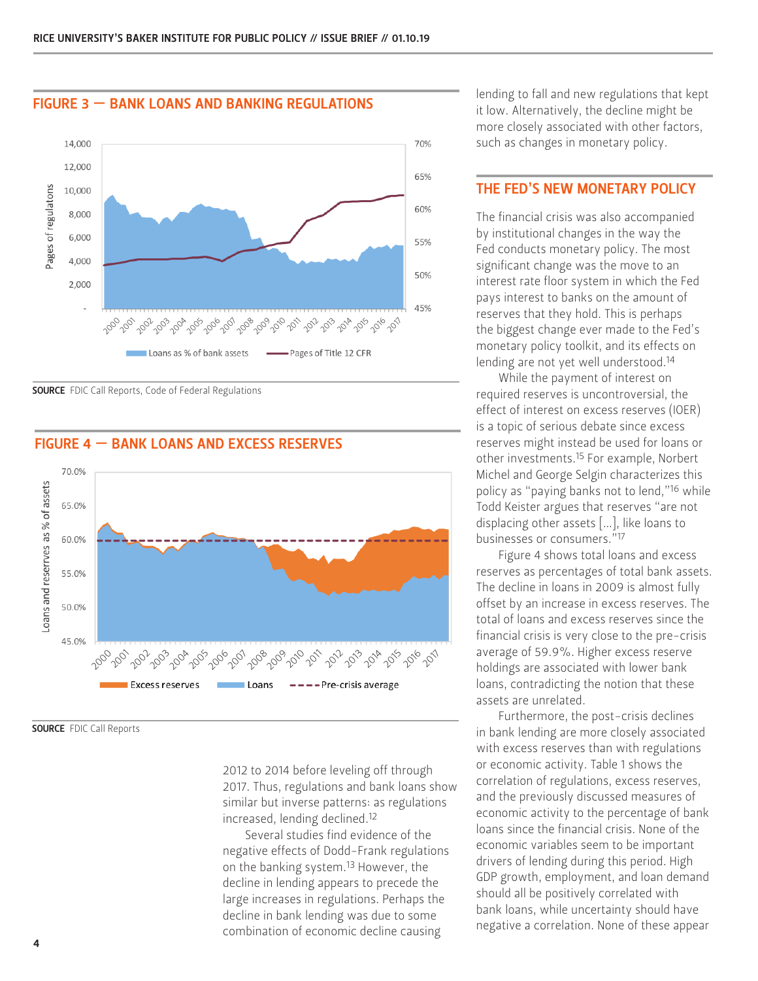

#### FIGURE 3 — BANK LOANS AND BANKING REGULATIONS

**SOURCE** FDIC Call Reports, Code of Federal Regulations



#### FIGURE 4 — BANK LOANS AND EXCESS RESERVES

SOURCE FDIC Call Reports

2012 to 2014 before leveling off through 2017. Thus, regulations and bank loans show similar but inverse patterns: as regulations increased, lending declined.12

Several studies find evidence of the negative effects of Dodd-Frank regulations on the banking system.13 However, the decline in lending appears to precede the large increases in regulations. Perhaps the decline in bank lending was due to some combination of economic decline causing

lending to fall and new regulations that kept it low. Alternatively, the decline might be more closely associated with other factors, such as changes in monetary policy.

#### THE FED'S NEW MONETARY POLICY

The financial crisis was also accompanied by institutional changes in the way the Fed conducts monetary policy. The most significant change was the move to an interest rate floor system in which the Fed pays interest to banks on the amount of reserves that they hold. This is perhaps the biggest change ever made to the Fed's monetary policy toolkit, and its effects on lending are not yet well understood.<sup>14</sup>

While the payment of interest on required reserves is uncontroversial, the effect of interest on excess reserves (IOER) is a topic of serious debate since excess reserves might instead be used for loans or other investments.15 For example, Norbert Michel and George Selgin characterizes this policy as "paying banks not to lend,"16 while Todd Keister argues that reserves "are not displacing other assets […], like loans to businesses or consumers."17

Figure 4 shows total loans and excess reserves as percentages of total bank assets. The decline in loans in 2009 is almost fully offset by an increase in excess reserves. The total of loans and excess reserves since the financial crisis is very close to the pre-crisis average of 59.9%. Higher excess reserve holdings are associated with lower bank loans, contradicting the notion that these assets are unrelated.

Furthermore, the post-crisis declines in bank lending are more closely associated with excess reserves than with regulations or economic activity. Table 1 shows the correlation of regulations, excess reserves, and the previously discussed measures of economic activity to the percentage of bank loans since the financial crisis. None of the economic variables seem to be important drivers of lending during this period. High GDP growth, employment, and loan demand should all be positively correlated with bank loans, while uncertainty should have negative a correlation. None of these appear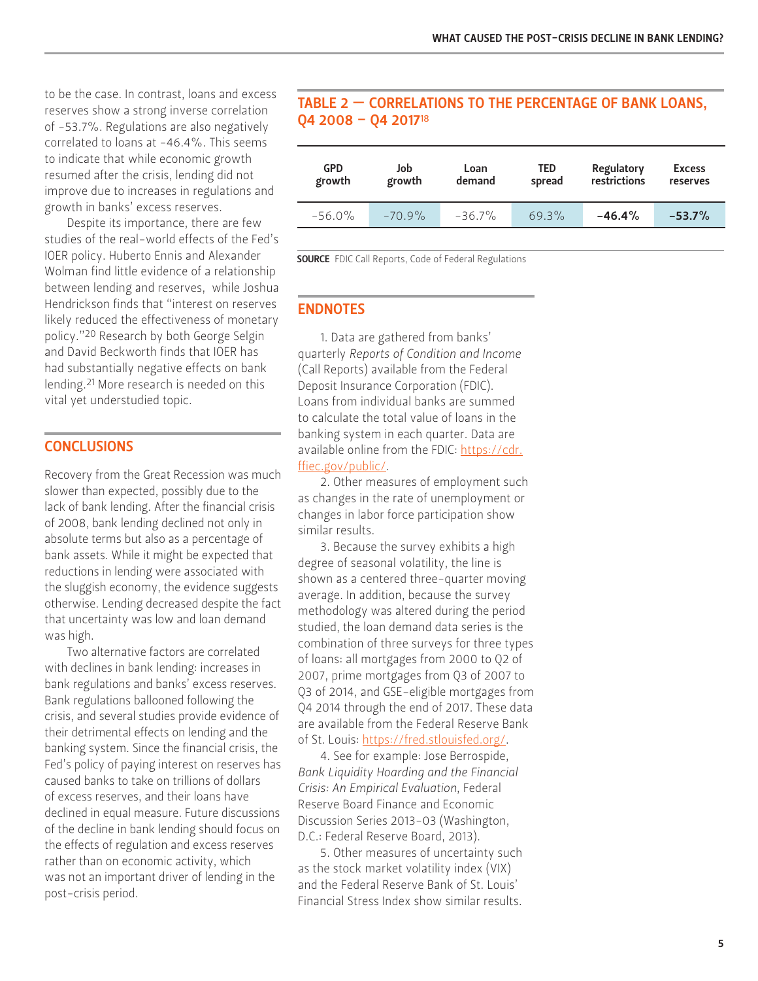to be the case. In contrast, loans and excess reserves show a strong inverse correlation of -53.7%. Regulations are also negatively correlated to loans at -46.4%. This seems to indicate that while economic growth resumed after the crisis, lending did not improve due to increases in regulations and growth in banks' excess reserves.

Despite its importance, there are few studies of the real-world effects of the Fed's IOER policy. Huberto Ennis and Alexander Wolman find little evidence of a relationship between lending and reserves, while Joshua Hendrickson finds that "interest on reserves likely reduced the effectiveness of monetary policy."20 Research by both George Selgin and David Beckworth finds that IOER has had substantially negative effects on bank lending.21 More research is needed on this vital yet understudied topic.

#### **CONCLUSIONS**

Recovery from the Great Recession was much slower than expected, possibly due to the lack of bank lending. After the financial crisis of 2008, bank lending declined not only in absolute terms but also as a percentage of bank assets. While it might be expected that reductions in lending were associated with the sluggish economy, the evidence suggests otherwise. Lending decreased despite the fact that uncertainty was low and loan demand was high.

Two alternative factors are correlated with declines in bank lending: increases in bank regulations and banks' excess reserves. Bank regulations ballooned following the crisis, and several studies provide evidence of their detrimental effects on lending and the banking system. Since the financial crisis, the Fed's policy of paying interest on reserves has caused banks to take on trillions of dollars of excess reserves, and their loans have declined in equal measure. Future discussions of the decline in bank lending should focus on the effects of regulation and excess reserves rather than on economic activity, which was not an important driver of lending in the post-crisis period.

#### TABLE 2 — CORRELATIONS TO THE PERCENTAGE OF BANK LOANS, Q4 2008 – Q4 2017<sup>18</sup>

| <b>GPD</b><br>growth | Job<br>growth | Loan<br>demand | <b>TED</b><br>spread | Regulatory<br>restrictions | <b>Excess</b><br>reserves |
|----------------------|---------------|----------------|----------------------|----------------------------|---------------------------|
| $-56.0\%$            | $-70.9%$      | $-36.7\%$      | $69.3\%$             | $-46.4%$                   | $-53.7%$                  |
|                      |               |                |                      |                            |                           |

**SOURCE** FDIC Call Reports, Code of Federal Regulations

#### ENDNOTES

1. Data are gathered from banks' quarterly *Reports of Condition and Income* (Call Reports) available from the Federal Deposit Insurance Corporation (FDIC). Loans from individual banks are summed to calculate the total value of loans in the banking system in each quarter. Data are available online from the FDIC: [https://cdr.](https://cdr.ffiec.gov/public/) [ffiec.gov/public/.](https://cdr.ffiec.gov/public/)

2. Other measures of employment such as changes in the rate of unemployment or changes in labor force participation show similar results.

3. Because the survey exhibits a high degree of seasonal volatility, the line is shown as a centered three-quarter moving average. In addition, because the survey methodology was altered during the period studied, the loan demand data series is the combination of three surveys for three types of loans: all mortgages from 2000 to Q2 of 2007, prime mortgages from Q3 of 2007 to Q3 of 2014, and GSE-eligible mortgages from Q4 2014 through the end of 2017. These data are available from the Federal Reserve Bank of St. Louis: [https://fred.stlouisfed.org/.](https://fred.stlouisfed.org/)

4. See for example: Jose Berrospide, *Bank Liquidity Hoarding and the Financial Crisis: An Empirical Evaluation*, Federal Reserve Board Finance and Economic Discussion Series 2013-03 (Washington, D.C.: Federal Reserve Board, 2013).

5. Other measures of uncertainty such as the stock market volatility index (VIX) and the Federal Reserve Bank of St. Louis' Financial Stress Index show similar results.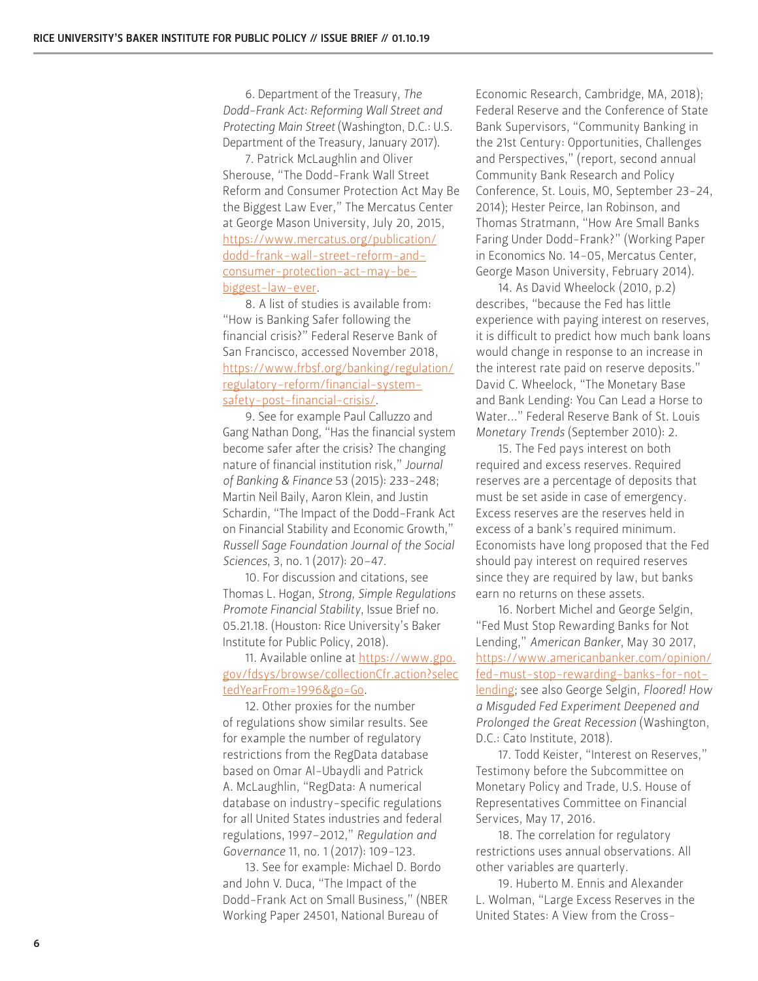6. Department of the Treasury, *The Dodd-Frank Act: Reforming Wall Street and Protecting Main Street* (Washington, D.C.: U.S. Department of the Treasury, January 2017).

7. Patrick McLaughlin and Oliver Sherouse, "The Dodd-Frank Wall Street Reform and Consumer Protection Act May Be the Biggest Law Ever," The Mercatus Center at George Mason University, July 20, 2015, [https://www.mercatus.org/publication/](https://www.mercatus.org/publication/dodd-frank-wall-street-reform-and-consumer-protection-act-may-be-biggest-law-ever) [dodd-frank-wall-street-reform-and](https://www.mercatus.org/publication/dodd-frank-wall-street-reform-and-consumer-protection-act-may-be-biggest-law-ever)[consumer-protection-act-may-be](https://www.mercatus.org/publication/dodd-frank-wall-street-reform-and-consumer-protection-act-may-be-biggest-law-ever)[biggest-law-ever.](https://www.mercatus.org/publication/dodd-frank-wall-street-reform-and-consumer-protection-act-may-be-biggest-law-ever)

8. A list of studies is available from: "How is Banking Safer following the financial crisis?" Federal Reserve Bank of San Francisco, accessed November 2018, [https://www.frbsf.org/banking/regulation/](https://www.frbsf.org/banking/regulation/regulatory-reform/financial-system-safety-post-financial-crisis/) [regulatory-reform/financial-system](https://www.frbsf.org/banking/regulation/regulatory-reform/financial-system-safety-post-financial-crisis/)[safety-post-financial-crisis/](https://www.frbsf.org/banking/regulation/regulatory-reform/financial-system-safety-post-financial-crisis/).

9. See for example Paul Calluzzo and Gang Nathan Dong, "Has the financial system become safer after the crisis? The changing nature of financial institution risk," *Journal of Banking & Finance* 53 (2015): 233-248; Martin Neil Baily, Aaron Klein, and Justin Schardin, "The Impact of the Dodd-Frank Act on Financial Stability and Economic Growth," *Russell Sage Foundation Journal of the Social Sciences*, 3, no. 1 (2017): 20–47.

10. For discussion and citations, see Thomas L. Hogan, *Strong, Simple Regulations Promote Financial Stability*, Issue Brief no. 05.21.18. (Houston: Rice University's Baker Institute for Public Policy, 2018).

11. Available online at [https://www.gpo.](https://www.gpo.gov/fdsys/browse/collectionCfr.action?selectedYearFrom=1996&go=Go) [gov/fdsys/browse/collectionCfr.action?selec](https://www.gpo.gov/fdsys/browse/collectionCfr.action?selectedYearFrom=1996&go=Go) [tedYearFrom=1996&go=Go](https://www.gpo.gov/fdsys/browse/collectionCfr.action?selectedYearFrom=1996&go=Go).

12. Other proxies for the number of regulations show similar results. See for example the number of regulatory restrictions from the RegData database based on Omar Al-Ubaydli and Patrick A. McLaughlin, "RegData: A numerical database on industry-specific regulations for all United States industries and federal regulations, 1997–2012," *Regulation and Governance* 11, no. 1 (2017): 109-123.

13. See for example: Michael D. Bordo and John V. Duca, "The Impact of the Dodd-Frank Act on Small Business," (NBER Working Paper 24501, National Bureau of

Economic Research, Cambridge, MA, 2018); Federal Reserve and the Conference of State Bank Supervisors, "Community Banking in the 21st Century: Opportunities, Challenges and Perspectives," (report, second annual Community Bank Research and Policy Conference, St. Louis, MO, September 23-24, 2014); Hester Peirce, Ian Robinson, and Thomas Stratmann, "How Are Small Banks Faring Under Dodd-Frank?" (Working Paper in Economics No. 14-05, Mercatus Center, George Mason University, February 2014).

14. As David Wheelock (2010, p.2) describes, "because the Fed has little experience with paying interest on reserves, it is difficult to predict how much bank loans would change in response to an increase in the interest rate paid on reserve deposits." David C. Wheelock, "The Monetary Base and Bank Lending: You Can Lead a Horse to Water..." Federal Reserve Bank of St. Louis *Monetary Trends* (September 2010): 2.

15. The Fed pays interest on both required and excess reserves. Required reserves are a percentage of deposits that must be set aside in case of emergency. Excess reserves are the reserves held in excess of a bank's required minimum. Economists have long proposed that the Fed should pay interest on required reserves since they are required by law, but banks earn no returns on these assets.

16. Norbert Michel and George Selgin, "Fed Must Stop Rewarding Banks for Not Lending," *American Banker*, May 30 2017, [https://www.americanbanker.com/opinion/](https://www.americanbanker.com/opinion/fed-must-stop-rewarding-banks-for-not-lending) [fed-must-stop-rewarding-banks-for-not](https://www.americanbanker.com/opinion/fed-must-stop-rewarding-banks-for-not-lending)[lending;](https://www.americanbanker.com/opinion/fed-must-stop-rewarding-banks-for-not-lending) see also George Selgin, *Floored! How a Misguded Fed Experiment Deepened and Prolonged the Great Recession* (Washington, D.C.: Cato Institute, 2018).

17. Todd Keister, "Interest on Reserves," Testimony before the Subcommittee on Monetary Policy and Trade, U.S. House of Representatives Committee on Financial Services, May 17, 2016.

18. The correlation for regulatory restrictions uses annual observations. All other variables are quarterly.

19. Huberto M. Ennis and Alexander L. Wolman, "Large Excess Reserves in the United States: A View from the Cross